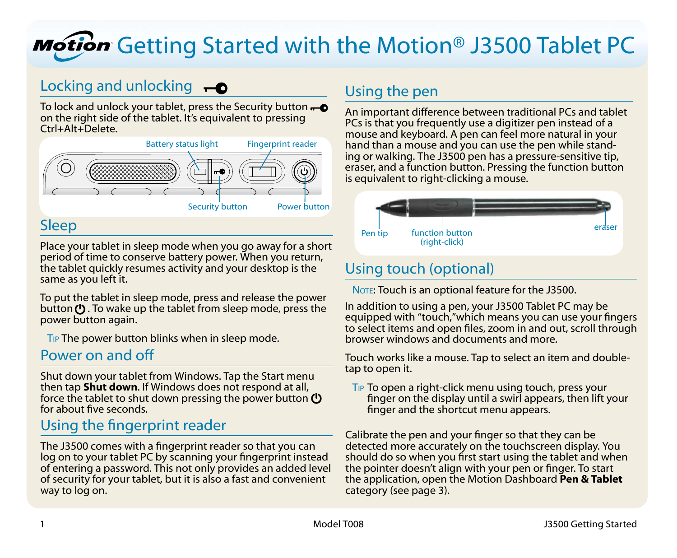# Motion Getting Started with the Motion<sup>®</sup> J3500 Tablet PC

### Locking and unlocking  $\overline{\bullet}$

To lock and unlock your tablet, press the Security button  $\leftarrow \bullet$ on the right side of the tablet. It's equivalent to pressing Ctrl+Alt+Delete.

<span id="page-0-0"></span>

### Sleep

Place your tablet in sleep mode when you go away for a short period of time to conserve battery power. When you return, the tablet quickly resumes activity and your desktop is the same as you left it.

To put the tablet in sleep mode, press and release the power button (!). To wake up the tablet from sleep mode, press the power button again.

TIP The power button blinks when in sleep mode.

### Power on and off

Shut down your tablet from Windows. Tap the Start menu then tap **Shut down**. If Windows does not respond at all, force the tablet to shut down pressing the power button  $\bf{C}$ for about five seconds.

### Using the fingerprint reader

The J3500 comes with a fingerprint reader so that you can log on to your tablet PC by scanning your fingerprint instead of entering a password. This not only provides an added level of security for your tablet, but it is also a fast and convenient way to log on.

### Using the pen

An important difference between traditional PCs and tablet PCs is that you frequently use a digitizer pen instead of a mouse and keyboard. A pen can feel more natural in your hand than a mouse and you can use the pen while standing or walking. The J3500 pen has a pressure-sensitive tip, eraser, and a function button. Pressing the function button is equivalent to right-clicking a mouse.



### Using touch (optional)

NOTE: Touch is an optional feature for the J3500.

In addition to using a pen, your J3500 Tablet PC may be equipped with "touch,"which means you can use your fingers to select items and open files, zoom in and out, scroll through browser windows and documents and more.

Touch works like a mouse. Tap to select an item and doubletap to open it.

Tip To open a right-click menu using touch, press your finger on the display until a swirl appears, then lift your finger and the shortcut menu appears.

Calibrate the pen and your finger so that they can be detected more accurately on the touchscreen display. You should do so when you first start using the tablet and when the pointer doesn't align with your pen or finger. To start the application, open the Motion Dashboard **Pen & Tablet** category (see [page 3](#page-2-0)).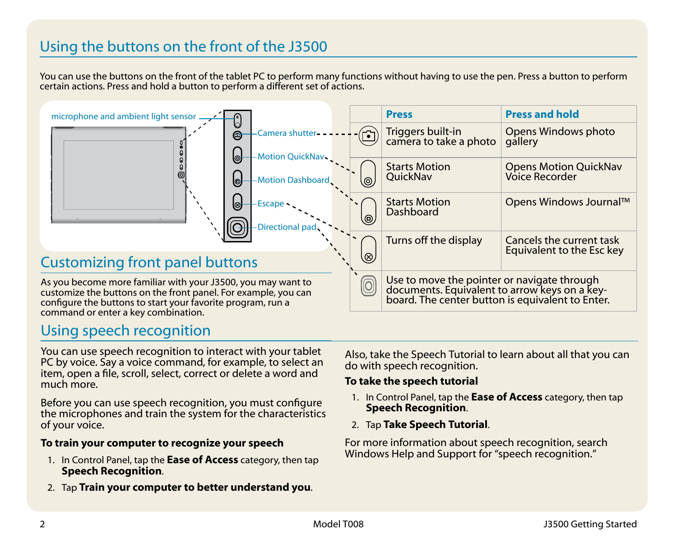### Using the buttons on the front of the J3500

You can use the buttons on the front of the tablet PC to perform many functions without having to use the pen. Press a button to perform certain actions. Press and hold a button to perform a different set of actions.

| <b>Press and hold</b><br><b>Press</b><br>microphone and ambient light sensor<br>Ū<br>Opens Windows photo<br>Triggers built-in<br>camera to take a photo<br>Camera shutter-<br>$\overline{\Xi}$<br>$\bm{\Theta}$<br>gallery<br>ြ<br>Motion QuickNav<br><b>Starts Motion</b><br><b>Opens Motion QuickNav</b><br>Voice Recorder<br><b>OuickNav</b><br>Motion Dashboard.<br>G<br>(ම<br>Opens Windows Journal™<br><b>Starts Motion</b><br>0<br>Escape<br>↖<br>Dashboard<br>$^{\circledR}$<br><b>Directional pad</b><br>Turns off the display<br>Cancels the current task<br>Equivalent to the Esc key<br>Q,<br>Use to move the pointer or navigate through<br>$\textcircled{\scriptsize{0}}$<br>documents. Equivalent to arrow keys on a key-<br>board. The center button is equivalent to Enter.<br>command or enter a key combination. |                                                                                                                                                                                               |  |  |  |
|-------------------------------------------------------------------------------------------------------------------------------------------------------------------------------------------------------------------------------------------------------------------------------------------------------------------------------------------------------------------------------------------------------------------------------------------------------------------------------------------------------------------------------------------------------------------------------------------------------------------------------------------------------------------------------------------------------------------------------------------------------------------------------------------------------------------------------------|-----------------------------------------------------------------------------------------------------------------------------------------------------------------------------------------------|--|--|--|
|                                                                                                                                                                                                                                                                                                                                                                                                                                                                                                                                                                                                                                                                                                                                                                                                                                     |                                                                                                                                                                                               |  |  |  |
|                                                                                                                                                                                                                                                                                                                                                                                                                                                                                                                                                                                                                                                                                                                                                                                                                                     |                                                                                                                                                                                               |  |  |  |
|                                                                                                                                                                                                                                                                                                                                                                                                                                                                                                                                                                                                                                                                                                                                                                                                                                     |                                                                                                                                                                                               |  |  |  |
|                                                                                                                                                                                                                                                                                                                                                                                                                                                                                                                                                                                                                                                                                                                                                                                                                                     |                                                                                                                                                                                               |  |  |  |
|                                                                                                                                                                                                                                                                                                                                                                                                                                                                                                                                                                                                                                                                                                                                                                                                                                     |                                                                                                                                                                                               |  |  |  |
|                                                                                                                                                                                                                                                                                                                                                                                                                                                                                                                                                                                                                                                                                                                                                                                                                                     | <b>Customizing front panel buttons</b>                                                                                                                                                        |  |  |  |
|                                                                                                                                                                                                                                                                                                                                                                                                                                                                                                                                                                                                                                                                                                                                                                                                                                     | As you become more familiar with your J3500, you may want to<br>customize the buttons on the front panel. For example, you can<br>configure the buttons to start your favorite program, run a |  |  |  |

### Using speech recognition

You can use speech recognition to interact with your tablet PC by voice. Say a voice command, for example, to select an item, open a file, scroll, select, correct or delete a word and much more.

Before you can use speech recognition, you must configure the microphones and train the system for the characteristics of your voice.

#### **To train your computer to recognize your speech**

- 1. In Control Panel, tap the **Ease of Access** category, then tap **Speech Recognition**.
- 2. Tap **Train your computer to better understand you**.

Also, take the Speech Tutorial to learn about all that you can do with speech recognition.

#### **To take the speech tutorial**

- 1. In Control Panel, tap the **Ease of Access** category, then tap **Speech Recognition**.
- 2. Tap **Take Speech Tutorial**.

For more information about speech recognition, search Windows Help and Support for "speech recognition."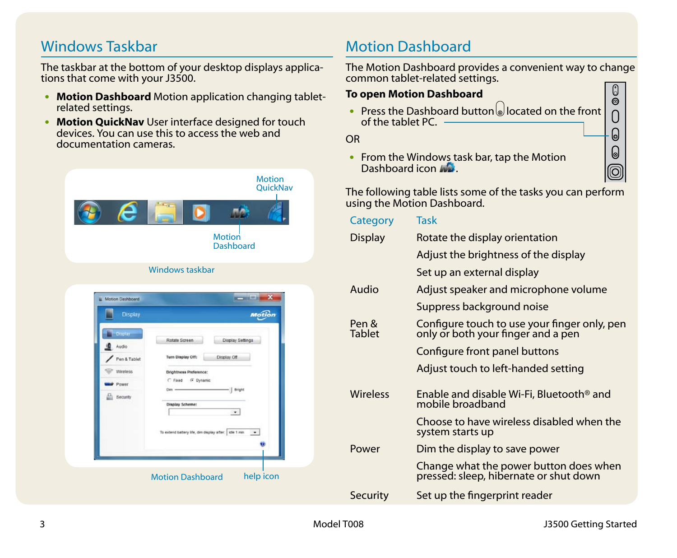### Windows Taskbar

The taskbar at the bottom of your desktop displays applications that come with your J3500.

- •• **Motion Dashboard** Motion application changing tabletrelated settings.
- **Motion QuickNav** User interface designed for touch devices. You can use this to access the web and documentation cameras.



### <span id="page-2-0"></span>Motion Dashboard

The Motion Dashboard provides a convenient way to change common tablet-related settings. Use the Motion Dashboard to Motion Dashboard to Annual Section 2014  $\mathbb{O}$ 

### **To open Motion Dashboard**

 $\odot$ • Press the Dashboard button  $\omega$  located on the front of the tablet PC.

OR

• From the Windows task bar, tap the Motion Dashboard icon ...

The following table lists some of the tasks you can perform using the Motion Dashboard.

| Category               | Task                                                                               |
|------------------------|------------------------------------------------------------------------------------|
| <b>Display</b>         | Rotate the display orientation                                                     |
|                        | Adjust the brightness of the display                                               |
|                        | Set up an external display                                                         |
| Audio                  | Adjust speaker and microphone volume                                               |
|                        | Suppress background noise                                                          |
| Pen &<br><b>Tablet</b> | Configure touch to use your finger only, pen<br>only or both your finger and a pen |
|                        | Configure front panel buttons                                                      |
|                        | Adjust touch to left-handed setting                                                |
| <b>Wireless</b>        | Enable and disable Wi-Fi, Bluetooth <sup>®</sup> and<br>mobile broadband           |
|                        | Choose to have wireless disabled when the<br>system starts up                      |
| Power                  | Dim the display to save power                                                      |
|                        | Change what the power button does when<br>pressed: sleep, hibernate or shut down   |
| <b>Security</b>        | Set up the fingerprint reader                                                      |

0 0 0  $\left[ \text{\o} \right]$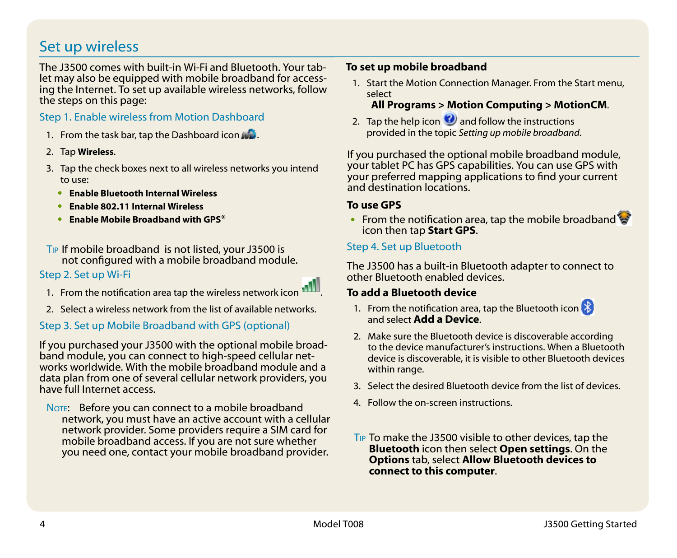### Set up wireless

The J3500 comes with built-in Wi-Fi and Bluetooth. Your tablet may also be equipped with mobile broadband for accessing the Internet. To set up available wireless networks, follow the steps on this page:

#### Step 1. Enable wireless from Motion Dashboard

- 1. From the task bar, tap the Dashboard icon ...
- 2. Tap **Wireless**.
- 3. Tap the check boxes next to all wireless networks you intend to use:
	- •• **Enable Bluetooth Internal Wireless**
	- •• **Enable 802.11 Internal Wireless**
	- •• **Enable Mobile Broadband with GPS**\*
- Tip If mobile broadband is not listed, your J3500 is not configured with a mobile broadband module.

#### Step 2. Set up Wi-Fi

- 1. From the notification area tap the wireless network icon .
- 2. Select a wireless network from the list of available networks.

### <span id="page-3-0"></span>Step 3. Set up Mobile Broadband with GPS (optional)

If you purchased your J3500 with the optional mobile broadband module, you can connect to high-speed cellular networks worldwide. With the mobile broadband module and a data plan from one of several cellular network providers, you have full Internet access.

NOTE: Before you can connect to a mobile broadband network, you must have an active account with a cellular network provider. Some providers require a SIM card for mobile broadband access. If you are not sure whether you need one, contact your mobile broadband provider.

#### **To set up mobile broadband**

1. Start the Motion Connection Manager. From the Start menu, select

### **All Programs > Motion Computing > MotionCM**.

2. Tap the help icon  $\bullet$  and follow the instructions provided in the topic *Setting up mobile broadband*.

If you purchased the optional mobile broadband module, your tablet PC has GPS capabilities. You can use GPS with your preferred mapping applications to find your current and destination locations.

#### **To use GPS**

• From the notification area, tap the mobile broadband icon then tap **Start GPS**.

#### Step 4. Set up Bluetooth

The J3500 has a built-in Bluetooth adapter to connect to other Bluetooth enabled devices.

#### **To add a Bluetooth device**

- 1. From the notification area, tap the Bluetooth icon and select **Add a Device**.
- 2. Make sure the Bluetooth device is discoverable according to the device manufacturer's instructions. When a Bluetooth device is discoverable, it is visible to other Bluetooth devices within range.
- 3. Select the desired Bluetooth device from the list of devices.
- 4. Follow the on-screen instructions.
- Tip To make the J3500 visible to other devices, tap the **Bluetooth** icon then select **Open settings**. On the **Options** tab, select **Allow Bluetooth devices to connect to this computer**.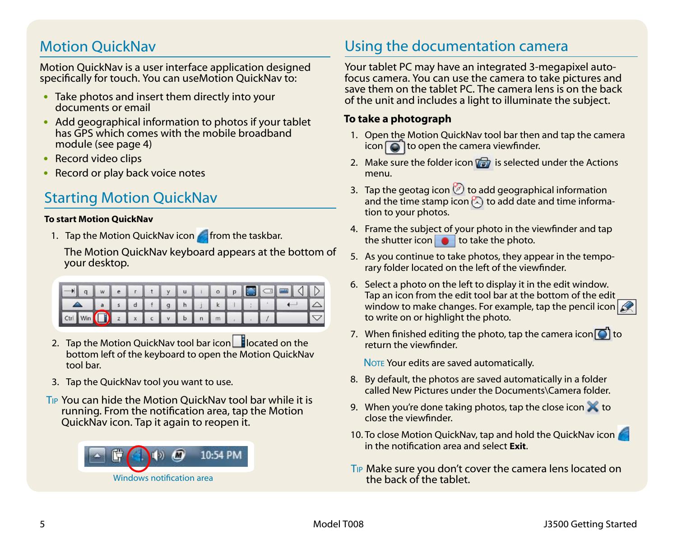### Motion QuickNav

Motion QuickNav is a user interface application designed specifically for touch. You can useMotion QuickNav to:

- Take photos and insert them directly into your documents or email
- Add geographical information to photos if your tablet has GPS which comes with the mobile broadband module (see [page 4\)](#page-3-0)
- Record video clips
- Record or play back voice notes

### Starting Motion QuickNav

#### **To start Motion QuickNav**

1. Tap the Motion QuickNav icon **for** from the taskbar.

The Motion QuickNav keyboard appears at the bottom of your desktop.

|                                      |  |  |  |  |  |  | $\Delta$ as dfg hj k i $\Delta$ |            |
|--------------------------------------|--|--|--|--|--|--|---------------------------------|------------|
| Ctrl Win (D) z x c v b n m d d v b n |  |  |  |  |  |  |                                 | $\sqrt{2}$ |

- 2. Tap the Motion QuickNav tool bar icon  $\Box$  located on the bottom left of the keyboard to open the Motion QuickNav tool bar.
- 3. Tap the QuickNav tool you want to use.
- Tip You can hide the Motion QuickNav tool bar while it is running. From the notification area, tap the Motion QuickNav icon. Tap it again to reopen it.



### Using the documentation camera

Your tablet PC may have an integrated 3-megapixel autofocus camera. You can use the camera to take pictures and save them on the tablet PC. The camera lens is on the back of the unit and includes a light to illuminate the subject.

#### **To take a photograph**

- 1. Open the Motion QuickNav tool bar then and tap the camera icon  $\bigcirc$  to open the camera viewfinder.
- 2. Make sure the folder icon  $\sqrt{a}$  is selected under the Actions menu.
- 3. Tap the geotag icon  $\oslash$  to add geographical information and the time stamp icon  $\mathbb{Z}$  to add date and time information to your photos.
- 4. Frame the subject of your photo in the viewfinder and tap the shutter icon  $\bullet$  to take the photo.
- 5. As you continue to take photos, they appear in the temporary folder located on the left of the viewfinder.
- 6. Select a photo on the left to display it in the edit window. Tap an icon from the edit tool bar at the bottom of the edit window to make changes. For example, tap the pencil icon to write on or highlight the photo.
- 7. When finished editing the photo, tap the camera icon  $\Box$  to return the viewfinder.

NOTE Your edits are saved automatically.

- 8. By default, the photos are saved automatically in a folder called New Pictures under the Documents\Camera folder.
- 9. When you're done taking photos, tap the close icon  $\blacktriangleright$  to close the viewfinder.
- 10. To close Motion QuickNav, tap and hold the QuickNav icon in the notification area and select **Exit**.
- Tip Make sure you don't cover the camera lens located on the back of the tablet.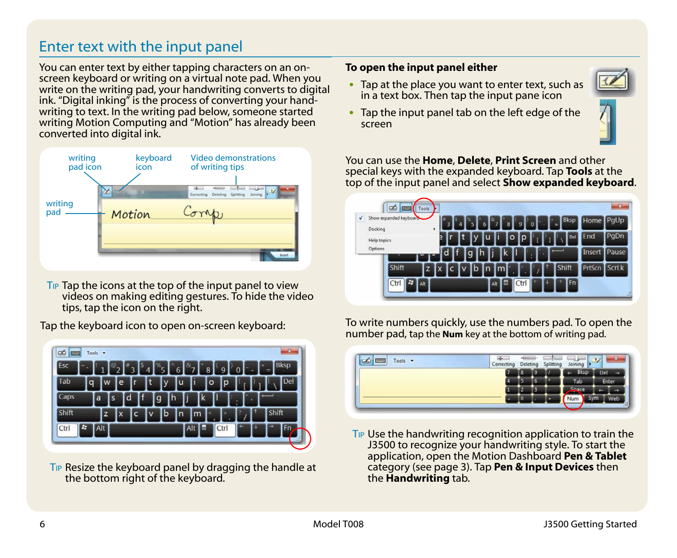### Enter text with the input panel

You can enter text by either tapping characters on an onscreen keyboard or writing on a virtual note pad. When you write on the writing pad, your handwriting converts to digital ink. "Digital inking" is the process of converting your handwriting to text. In the writing pad below, someone started writing Motion Computing and "Motion" has already been converted into digital ink.



T<sub>IP</sub> Tap the icons at the top of the input panel to view videos on making editing gestures. To hide the video tips, tap the icon on the right.

Tap the keyboard icon to open on-screen keyboard:



Tip Resize the keyboard panel by dragging the handle at the bottom right of the keyboard.

#### **To open the input panel either**

- Tap at the place you want to enter text, such as in a text box. Then tap the input pane icon
- Tap the input panel tab on the left edge of the screen



You can use the **Home**, **Delete**, **Print Screen** and other special keys with the expanded keyboard. Tap **Tools** at the top of the input panel and select **Show expanded keyboard**.

| √ | Show expanded keyboard |    |   |         |         | 8         | o | <b>Bksp</b><br>٠ | Home   | PqUp  |
|---|------------------------|----|---|---------|---------|-----------|---|------------------|--------|-------|
|   | Docking<br>Help topics | ٠  | в |         | u       | lŋ<br>I٥  |   | Del              | End    | PgDn  |
|   | Options                |    | c | g       |         |           |   |                  | Insert | Pause |
|   | Shift                  | z  |   | Ιb<br>s | In<br>m |           |   | Shift            | PrtScn | Scrlk |
|   | Ы<br>Ctrl              | At |   |         | Alt     | 同<br>Ctrl |   | <b>Fn</b>        |        |       |

To write numbers quickly, use the numbers pad. To open the number pad, tap the **Num** key at the bottom of writing pad.

| <b>FWWW</b><br>Tools $\rightarrow$ | Correcting | Deleting |  | Splitting | Joi   |    |
|------------------------------------|------------|----------|--|-----------|-------|----|
|                                    |            | ы        |  |           | Bksp  | n. |
|                                    |            |          |  | Tab       | Enter |    |
|                                    |            |          |  |           |       |    |
|                                    |            |          |  |           | Num   |    |
|                                    |            |          |  |           | _     |    |

Tip Use the handwriting recognition application to train the J3500 to recognize your handwriting style. To start the application, open the Motion Dashboard **Pen & Tablet** category (see [page 3\)](#page-2-0). Tap **Pen & Input Devices** then the **Handwriting** tab.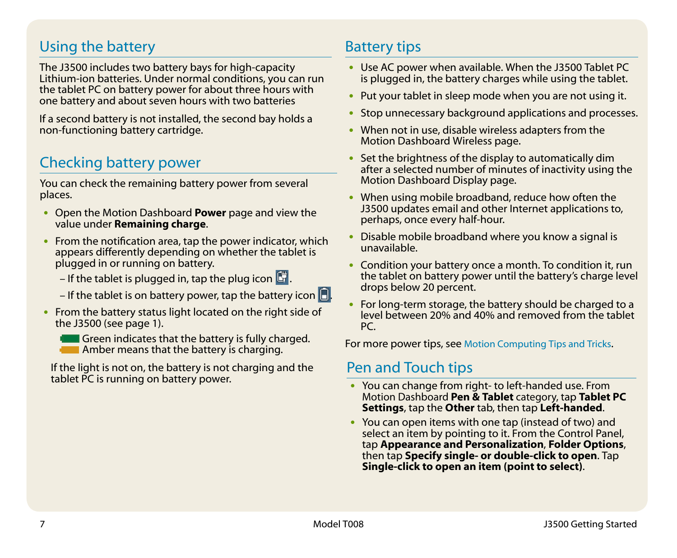### Using the battery

The J3500 includes two battery bays for high-capacity Lithium-ion batteries. Under normal conditions, you can run the tablet PC on battery power for about three hours with one battery and about seven hours with two batteries

If a second battery is not installed, the second bay holds a non-functioning battery cartridge.

## Checking battery power

You can check the remaining battery power from several places.

- •• Open the Motion Dashboard **Power** page and view the value under **Remaining charge**.
- From the notification area, tap the power indicator, which appears differently depending on whether the tablet is plugged in or running on battery.
	- If the tablet is plugged in, tap the plug icon  $\Box$ .
	- If the tablet is on battery power, tap the battery icon  $\Box$ .
- From the battery status light located on the right side of the J3500 (see [page 1\)](#page-0-0).
	- Green indicates that the battery is fully charged. **Amber means that the battery is charging.**

If the light is not on, the battery is not charging and the Pen and Touch tips<br>tablet PC is running on battery power.

### Battery tips

- Use AC power when available. When the J3500 Tablet PC is plugged in, the battery charges while using the tablet.
- Put your tablet in sleep mode when you are not using it.
- Stop unnecessary background applications and processes.
- When not in use, disable wireless adapters from the Motion Dashboard Wireless page.
- Set the brightness of the display to automatically dim after a selected number of minutes of inactivity using the Motion Dashboard Display page.
- When using mobile broadband, reduce how often the J3500 updates email and other Internet applications to, perhaps, once every half-hour.
- Disable mobile broadband where you know a signal is unavailable.
- Condition your battery once a month. To condition it, run the tablet on battery power until the battery's charge level drops below 20 percent.
- For long-term storage, the battery should be charged to a level between 20% and 40% and removed from the tablet PC.

For more power tips, see [Motion Computing Tips and Tricks](http://www.motioncomputing.com/tips).

- You can change from right- to left-handed use. From Motion Dashboard **Pen & Tablet** category, tap **Tablet PC Settings**, tap the **Other** tab, then tap **Left-handed**.
- You can open items with one tap (instead of two) and select an item by pointing to it. From the Control Panel, tap **Appearance and Personalization**, **Folder Options**, then tap **Specify single- or double-click to open**. Tap **Single-click to open an item (point to select)**.